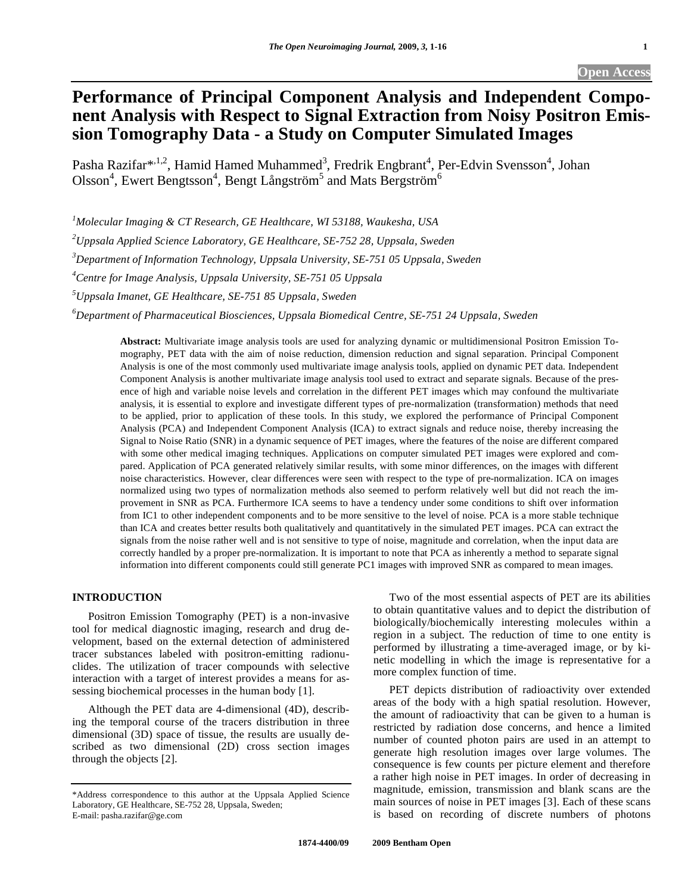# **Performance of Principal Component Analysis and Independent Component Analysis with Respect to Signal Extraction from Noisy Positron Emission Tomography Data - a Study on Computer Simulated Images**

Pasha Razifar\*<sup>,1,2</sup>, Hamid Hamed Muhammed<sup>3</sup>, Fredrik Engbrant<sup>4</sup>, Per-Edvin Svensson<sup>4</sup>, Johan Olsson<sup>4</sup>, Ewert Bengtsson<sup>4</sup>, Bengt Långström<sup>5</sup> and Mats Bergström<sup>6</sup>

*1 Molecular Imaging & CT Research, GE Healthcare, WI 53188, Waukesha, USA* 

*2 Uppsala Applied Science Laboratory, GE Healthcare, SE-752 28, Uppsala, Sweden* 

*3 Department of Information Technology, Uppsala University, SE-751 05 Uppsala, Sweden* 

*4 Centre for Image Analysis, Uppsala University, SE-751 05 Uppsala* 

*5 Uppsala Imanet, GE Healthcare, SE-751 85 Uppsala, Sweden* 

*6 Department of Pharmaceutical Biosciences, Uppsala Biomedical Centre, SE-751 24 Uppsala, Sweden* 

**Abstract:** Multivariate image analysis tools are used for analyzing dynamic or multidimensional Positron Emission Tomography, PET data with the aim of noise reduction, dimension reduction and signal separation. Principal Component Analysis is one of the most commonly used multivariate image analysis tools, applied on dynamic PET data. Independent Component Analysis is another multivariate image analysis tool used to extract and separate signals. Because of the presence of high and variable noise levels and correlation in the different PET images which may confound the multivariate analysis, it is essential to explore and investigate different types of pre-normalization (transformation) methods that need to be applied, prior to application of these tools. In this study, we explored the performance of Principal Component Analysis (PCA) and Independent Component Analysis (ICA) to extract signals and reduce noise, thereby increasing the Signal to Noise Ratio (SNR) in a dynamic sequence of PET images, where the features of the noise are different compared with some other medical imaging techniques. Applications on computer simulated PET images were explored and compared. Application of PCA generated relatively similar results, with some minor differences, on the images with different noise characteristics. However, clear differences were seen with respect to the type of pre-normalization. ICA on images normalized using two types of normalization methods also seemed to perform relatively well but did not reach the improvement in SNR as PCA. Furthermore ICA seems to have a tendency under some conditions to shift over information from IC1 to other independent components and to be more sensitive to the level of noise. PCA is a more stable technique than ICA and creates better results both qualitatively and quantitatively in the simulated PET images. PCA can extract the signals from the noise rather well and is not sensitive to type of noise, magnitude and correlation, when the input data are correctly handled by a proper pre-normalization. It is important to note that PCA as inherently a method to separate signal information into different components could still generate PC1 images with improved SNR as compared to mean images.

# **INTRODUCTION**

 Positron Emission Tomography (PET) is a non-invasive tool for medical diagnostic imaging, research and drug development, based on the external detection of administered tracer substances labeled with positron-emitting radionuclides. The utilization of tracer compounds with selective interaction with a target of interest provides a means for assessing biochemical processes in the human body [1].

 Although the PET data are 4-dimensional (4D), describing the temporal course of the tracers distribution in three dimensional (3D) space of tissue, the results are usually described as two dimensional (2D) cross section images through the objects [2].

 Two of the most essential aspects of PET are its abilities to obtain quantitative values and to depict the distribution of biologically/biochemically interesting molecules within a region in a subject. The reduction of time to one entity is performed by illustrating a time-averaged image, or by kinetic modelling in which the image is representative for a more complex function of time.

 PET depicts distribution of radioactivity over extended areas of the body with a high spatial resolution. However, the amount of radioactivity that can be given to a human is restricted by radiation dose concerns, and hence a limited number of counted photon pairs are used in an attempt to generate high resolution images over large volumes. The consequence is few counts per picture element and therefore a rather high noise in PET images. In order of decreasing in magnitude, emission, transmission and blank scans are the main sources of noise in PET images [3]. Each of these scans is based on recording of discrete numbers of photons

<sup>\*</sup>Address correspondence to this author at the Uppsala Applied Science Laboratory, GE Healthcare, SE-752 28, Uppsala, Sweden; E-mail: pasha.razifar@ge.com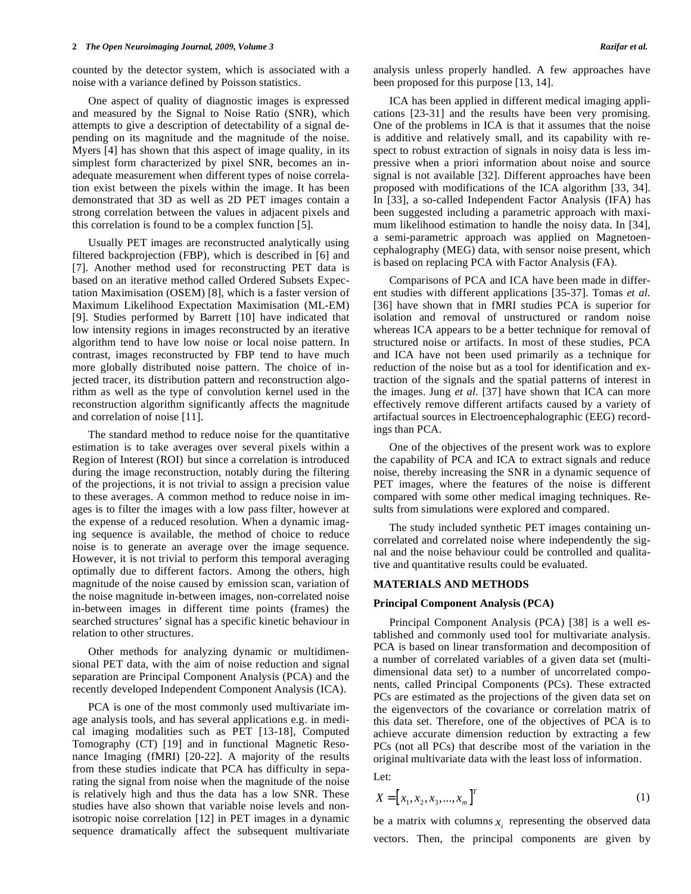counted by the detector system, which is associated with a noise with a variance defined by Poisson statistics.

 One aspect of quality of diagnostic images is expressed and measured by the Signal to Noise Ratio (SNR), which attempts to give a description of detectability of a signal depending on its magnitude and the magnitude of the noise. Myers [4] has shown that this aspect of image quality, in its simplest form characterized by pixel SNR, becomes an inadequate measurement when different types of noise correlation exist between the pixels within the image. It has been demonstrated that 3D as well as 2D PET images contain a strong correlation between the values in adjacent pixels and this correlation is found to be a complex function [5].

 Usually PET images are reconstructed analytically using filtered backprojection (FBP), which is described in [6] and [7]. Another method used for reconstructing PET data is based on an iterative method called Ordered Subsets Expectation Maximisation (OSEM) [8], which is a faster version of Maximum Likelihood Expectation Maximisation (ML-EM) [9]. Studies performed by Barrett [10] have indicated that low intensity regions in images reconstructed by an iterative algorithm tend to have low noise or local noise pattern. In contrast, images reconstructed by FBP tend to have much more globally distributed noise pattern. The choice of injected tracer, its distribution pattern and reconstruction algorithm as well as the type of convolution kernel used in the reconstruction algorithm significantly affects the magnitude and correlation of noise [11].

 The standard method to reduce noise for the quantitative estimation is to take averages over several pixels within a Region of Interest (ROI) but since a correlation is introduced during the image reconstruction, notably during the filtering of the projections, it is not trivial to assign a precision value to these averages. A common method to reduce noise in images is to filter the images with a low pass filter, however at the expense of a reduced resolution. When a dynamic imaging sequence is available, the method of choice to reduce noise is to generate an average over the image sequence. However, it is not trivial to perform this temporal averaging optimally due to different factors. Among the others, high magnitude of the noise caused by emission scan, variation of the noise magnitude in-between images, non-correlated noise in-between images in different time points (frames) the searched structures' signal has a specific kinetic behaviour in relation to other structures.

 Other methods for analyzing dynamic or multidimensional PET data, with the aim of noise reduction and signal separation are Principal Component Analysis (PCA) and the recently developed Independent Component Analysis (ICA).

 PCA is one of the most commonly used multivariate image analysis tools, and has several applications e.g. in medical imaging modalities such as PET [13-18], Computed Tomography (CT) [19] and in functional Magnetic Resonance Imaging (fMRI) [20-22]. A majority of the results from these studies indicate that PCA has difficulty in separating the signal from noise when the magnitude of the noise is relatively high and thus the data has a low SNR. These studies have also shown that variable noise levels and nonisotropic noise correlation [12] in PET images in a dynamic sequence dramatically affect the subsequent multivariate analysis unless properly handled. A few approaches have been proposed for this purpose [13, 14].

 ICA has been applied in different medical imaging applications [23-31] and the results have been very promising. One of the problems in ICA is that it assumes that the noise is additive and relatively small, and its capability with respect to robust extraction of signals in noisy data is less impressive when a priori information about noise and source signal is not available [32]. Different approaches have been proposed with modifications of the ICA algorithm [33, 34]. In [33], a so-called Independent Factor Analysis (IFA) has been suggested including a parametric approach with maximum likelihood estimation to handle the noisy data. In [34], a semi-parametric approach was applied on Magnetoencephalography (MEG) data, with sensor noise present, which is based on replacing PCA with Factor Analysis (FA).

 Comparisons of PCA and ICA have been made in different studies with different applications [35-37]. Tomas *et al.*  [36] have shown that in fMRI studies PCA is superior for isolation and removal of unstructured or random noise whereas ICA appears to be a better technique for removal of structured noise or artifacts. In most of these studies, PCA and ICA have not been used primarily as a technique for reduction of the noise but as a tool for identification and extraction of the signals and the spatial patterns of interest in the images. Jung *et al.* [37] have shown that ICA can more effectively remove different artifacts caused by a variety of artifactual sources in Electroencephalographic (EEG) recordings than PCA.

 One of the objectives of the present work was to explore the capability of PCA and ICA to extract signals and reduce noise, thereby increasing the SNR in a dynamic sequence of PET images, where the features of the noise is different compared with some other medical imaging techniques. Results from simulations were explored and compared.

 The study included synthetic PET images containing uncorrelated and correlated noise where independently the signal and the noise behaviour could be controlled and qualitative and quantitative results could be evaluated.

#### **MATERIALS AND METHODS**

#### **Principal Component Analysis (PCA)**

 Principal Component Analysis (PCA) [38] is a well established and commonly used tool for multivariate analysis. PCA is based on linear transformation and decomposition of a number of correlated variables of a given data set (multidimensional data set) to a number of uncorrelated components, called Principal Components (PCs). These extracted PCs are estimated as the projections of the given data set on the eigenvectors of the covariance or correlation matrix of this data set. Therefore, one of the objectives of PCA is to achieve accurate dimension reduction by extracting a few PCs (not all PCs) that describe most of the variation in the original multivariate data with the least loss of information.

Let:

$$
X = [x_1, x_2, x_3, ..., x_m]^T
$$
 (1)

be a matrix with columns  $x_i$  representing the observed data vectors. Then, the principal components are given by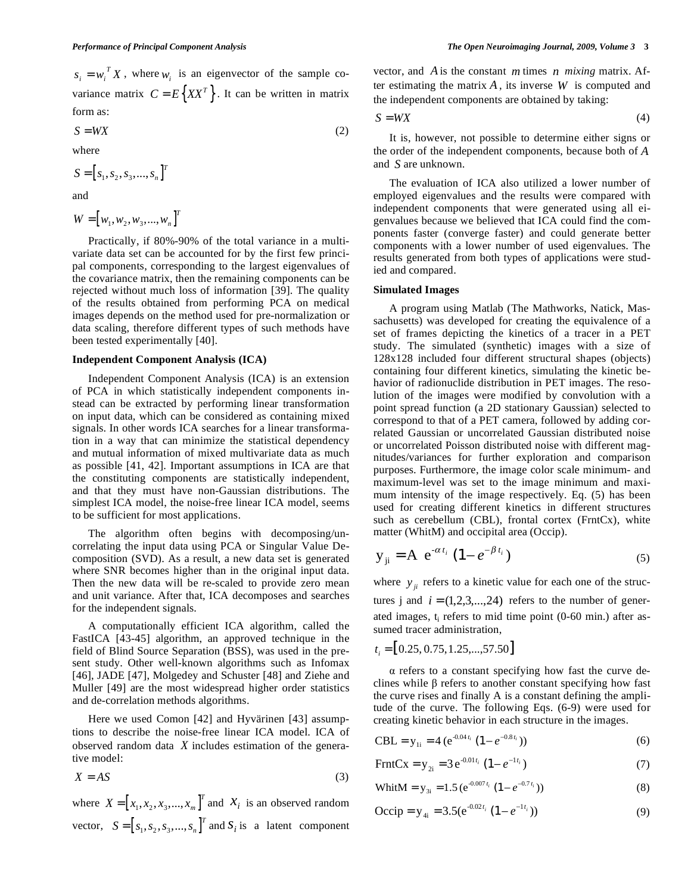$$
S = W X \tag{2}
$$

where

$$
S = [s_1, s_2, s_3, \dots, s_n]^T
$$

and

$$
W = [w_1, w_2, w_3, ..., w_n]^T
$$

 Practically, if 80%-90% of the total variance in a multivariate data set can be accounted for by the first few principal components, corresponding to the largest eigenvalues of the covariance matrix, then the remaining components can be rejected without much loss of information [39]. The quality of the results obtained from performing PCA on medical images depends on the method used for pre-normalization or data scaling, therefore different types of such methods have been tested experimentally [40].

#### **Independent Component Analysis (ICA)**

 Independent Component Analysis (ICA) is an extension of PCA in which statistically independent components instead can be extracted by performing linear transformation on input data, which can be considered as containing mixed signals. In other words ICA searches for a linear transformation in a way that can minimize the statistical dependency and mutual information of mixed multivariate data as much as possible [41, 42]. Important assumptions in ICA are that the constituting components are statistically independent, and that they must have non-Gaussian distributions. The simplest ICA model, the noise-free linear ICA model, seems to be sufficient for most applications.

 The algorithm often begins with decomposing/uncorrelating the input data using PCA or Singular Value Decomposition (SVD). As a result, a new data set is generated where SNR becomes higher than in the original input data. Then the new data will be re-scaled to provide zero mean and unit variance. After that, ICA decomposes and searches for the independent signals.

 A computationally efficient ICA algorithm, called the FastICA [43-45] algorithm, an approved technique in the field of Blind Source Separation (BSS), was used in the present study. Other well-known algorithms such as Infomax [46], JADE [47], Molgedey and Schuster [48] and Ziehe and Muller [49] are the most widespread higher order statistics and de-correlation methods algorithms.

 Here we used Comon [42] and Hyvärinen [43] assumptions to describe the noise-free linear ICA model. ICA of observed random data *X* includes estimation of the generative model:

$$
X = AS \tag{3}
$$

where  $X = [x_1, x_2, x_3, ..., x_m]^T$  and  $X_i$  is an observed random vector,  $S = [s_1, s_2, s_3, ..., s_n]^T$  and  $S_i$  is a latent component vector, and *A* is the constant *m* times *n mixing* matrix. After estimating the matrix  $A$ , its inverse  $W$  is computed and the independent components are obtained by taking:

$$
S = W X \tag{4}
$$

 It is, however, not possible to determine either signs or the order of the independent components, because both of *A* and *S* are unknown.

 The evaluation of ICA also utilized a lower number of employed eigenvalues and the results were compared with independent components that were generated using all eigenvalues because we believed that ICA could find the components faster (converge faster) and could generate better components with a lower number of used eigenvalues. The results generated from both types of applications were studied and compared.

#### **Simulated Images**

 A program using Matlab (The Mathworks, Natick, Massachusetts) was developed for creating the equivalence of a set of frames depicting the kinetics of a tracer in a PET study. The simulated (synthetic) images with a size of 128x128 included four different structural shapes (objects) containing four different kinetics, simulating the kinetic behavior of radionuclide distribution in PET images. The resolution of the images were modified by convolution with a point spread function (a 2D stationary Gaussian) selected to correspond to that of a PET camera, followed by adding correlated Gaussian or uncorrelated Gaussian distributed noise or uncorrelated Poisson distributed noise with different magnitudes/variances for further exploration and comparison purposes. Furthermore, the image color scale minimum- and maximum-level was set to the image minimum and maximum intensity of the image respectively. Eq. (5) has been used for creating different kinetics in different structures such as cerebellum (CBL), frontal cortex (FrntCx), white matter (WhitM) and occipital area (Occip).

$$
y_{ji} = A e^{-\alpha t_i} (1 - e^{-\beta t_i})
$$
 (5)

where  $y_{ii}$  refers to a kinetic value for each one of the structures j and  $i = (1, 2, 3, \dots, 24)$  refers to the number of generated images,  $t_i$  refers to mid time point  $(0-60 \text{ min.})$  after assumed tracer administration,

$$
t_i = [0.25, 0.75, 1.25, \dots, 57.50]
$$

 $\alpha$  refers to a constant specifying how fast the curve declines while  $\beta$  refers to another constant specifying how fast the curve rises and finally A is a constant defining the amplitude of the curve. The following Eqs. (6-9) were used for creating kinetic behavior in each structure in the images.

$$
CBL = y_{1i} = 4 (e^{-0.04 t_i} (1 - e^{-0.8 t_i}))
$$
 (6)

$$
FrntCx = y_{2i} = 3 e^{-0.01t_i} (1 - e^{-1t_i})
$$
\n(7)

$$
WhitM = y_{3i} = 1.5 (e^{-0.007t_i} (1 - e^{-0.7t_i}))
$$
\n(8)

$$
\text{Occip} = \mathbf{y}_{4i} = 3.5(\mathbf{e}^{-0.02t_i} \left(1 - e^{-1t_i}\right))\tag{9}
$$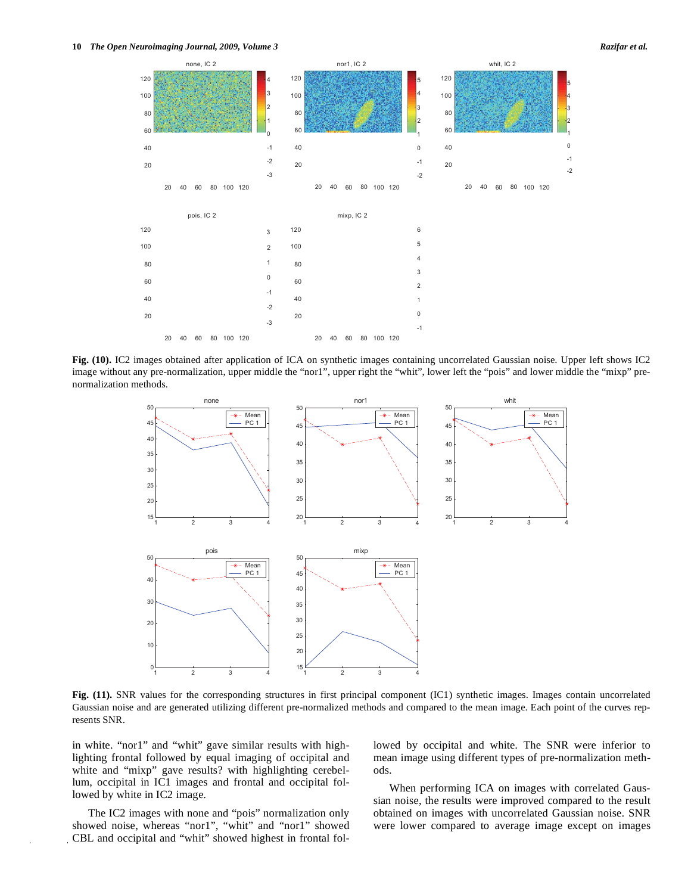



**Fig. (10).** IC2 images obtained after application of ICA on synthetic images containing uncorrelated Gaussian noise. Upper left shows IC2 image without any pre-normalization, upper middle the "nor1", upper right the "whit", lower left the "pois" and lower middle the "mixp" prenormalization methods.



**Fig. (11).** SNR values for the corresponding structures in first principal component (IC1) synthetic images. Images contain uncorrelated Gaussian noise and are generated utilizing different pre-normalized methods and compared to the mean image. Each point of the curves represents SNR.

in white. "nor1" and "whit" gave similar results with highlighting frontal followed by equal imaging of occipital and white and "mixp" gave results? with highlighting cerebellum, occipital in IC1 images and frontal and occipital followed by white in IC2 image.

 The IC2 images with none and "pois" normalization only showed noise, whereas "nor1", "whit" and "nor1" showed CBL and occipital and "whit" showed highest in frontal followed by occipital and white. The SNR were inferior to mean image using different types of pre-normalization methods.

 When performing ICA on images with correlated Gaussian noise, the results were improved compared to the result obtained on images with uncorrelated Gaussian noise. SNR were lower compared to average image except on images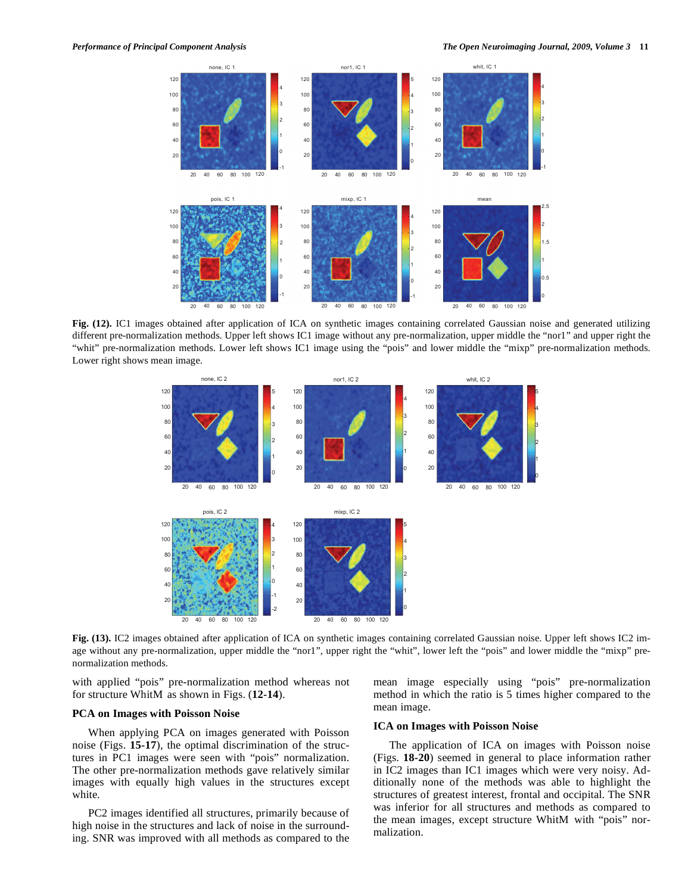

**Fig. (12).** IC1 images obtained after application of ICA on synthetic images containing correlated Gaussian noise and generated utilizing different pre-normalization methods. Upper left shows IC1 image without any pre-normalization, upper middle the "nor1" and upper right the "whit" pre-normalization methods. Lower left shows IC1 image using the "pois" and lower middle the "mixp" pre-normalization methods. Lower right shows mean image.



**Fig. (13).** IC2 images obtained after application of ICA on synthetic images containing correlated Gaussian noise. Upper left shows IC2 image without any pre-normalization, upper middle the "nor1", upper right the "whit", lower left the "pois" and lower middle the "mixp" prenormalization methods.

with applied "pois" pre-normalization method whereas not for structure WhitM as shown in Figs. (**12-14**).

#### **PCA on Images with Poisson Noise**

 When applying PCA on images generated with Poisson noise (Figs. **15-17**), the optimal discrimination of the structures in PC1 images were seen with "pois" normalization. The other pre-normalization methods gave relatively similar images with equally high values in the structures except white.

 PC2 images identified all structures, primarily because of high noise in the structures and lack of noise in the surrounding. SNR was improved with all methods as compared to the mean image especially using "pois" pre-normalization method in which the ratio is 5 times higher compared to the mean image.

#### **ICA on Images with Poisson Noise**

 The application of ICA on images with Poisson noise (Figs. **18-20**) seemed in general to place information rather in IC2 images than IC1 images which were very noisy. Additionally none of the methods was able to highlight the structures of greatest interest, frontal and occipital. The SNR was inferior for all structures and methods as compared to the mean images, except structure WhitM with "pois" normalization.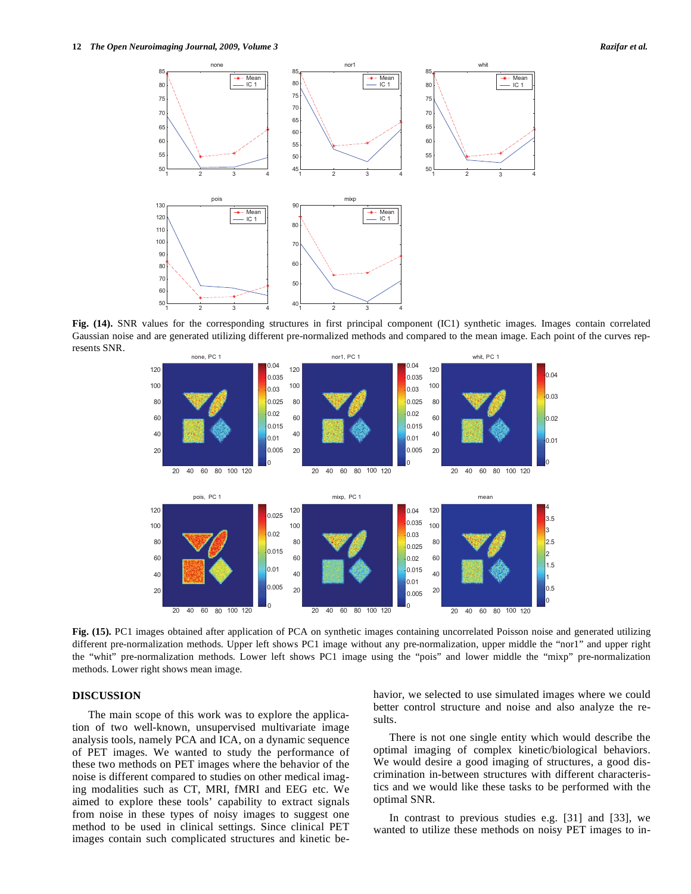

**Fig. (14).** SNR values for the corresponding structures in first principal component (IC1) synthetic images. Images contain correlated Gaussian noise and are generated utilizing different pre-normalized methods and compared to the mean image. Each point of the curves represents SNR.



**Fig. (15).** PC1 images obtained after application of PCA on synthetic images containing uncorrelated Poisson noise and generated utilizing different pre-normalization methods. Upper left shows PC1 image without any pre-normalization, upper middle the "nor1" and upper right the "whit" pre-normalization methods. Lower left shows PC1 image using the "pois" and lower middle the "mixp" pre-normalization methods. Lower right shows mean image.

# **DISCUSSION**

 The main scope of this work was to explore the application of two well-known, unsupervised multivariate image analysis tools, namely PCA and ICA, on a dynamic sequence of PET images. We wanted to study the performance of these two methods on PET images where the behavior of the noise is different compared to studies on other medical imaging modalities such as CT, MRI, fMRI and EEG etc. We aimed to explore these tools' capability to extract signals from noise in these types of noisy images to suggest one method to be used in clinical settings. Since clinical PET images contain such complicated structures and kinetic behavior, we selected to use simulated images where we could better control structure and noise and also analyze the results.

 There is not one single entity which would describe the optimal imaging of complex kinetic/biological behaviors. We would desire a good imaging of structures, a good discrimination in-between structures with different characteristics and we would like these tasks to be performed with the optimal SNR.

 In contrast to previous studies e.g. [31] and [33], we wanted to utilize these methods on noisy PET images to in-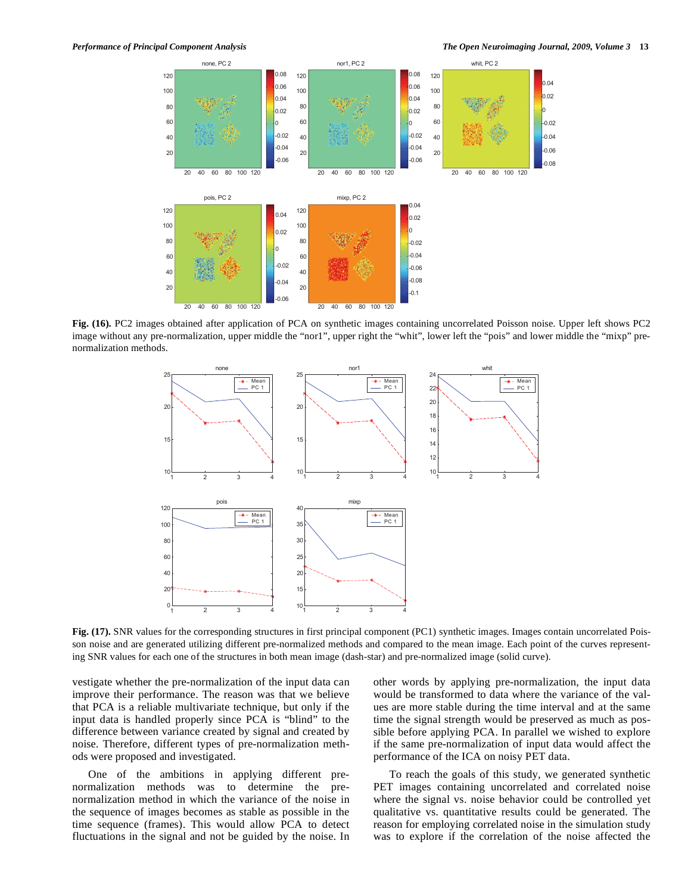

**Fig. (16).** PC2 images obtained after application of PCA on synthetic images containing uncorrelated Poisson noise. Upper left shows PC2 image without any pre-normalization, upper middle the "nor1", upper right the "whit", lower left the "pois" and lower middle the "mixp" prenormalization methods.



**Fig. (17).** SNR values for the corresponding structures in first principal component (PC1) synthetic images. Images contain uncorrelated Poisson noise and are generated utilizing different pre-normalized methods and compared to the mean image. Each point of the curves representing SNR values for each one of the structures in both mean image (dash-star) and pre-normalized image (solid curve).

vestigate whether the pre-normalization of the input data can improve their performance. The reason was that we believe that PCA is a reliable multivariate technique, but only if the input data is handled properly since PCA is "blind" to the difference between variance created by signal and created by noise. Therefore, different types of pre-normalization methods were proposed and investigated.

 One of the ambitions in applying different prenormalization methods was to determine the prenormalization method in which the variance of the noise in the sequence of images becomes as stable as possible in the time sequence (frames). This would allow PCA to detect fluctuations in the signal and not be guided by the noise. In other words by applying pre-normalization, the input data would be transformed to data where the variance of the values are more stable during the time interval and at the same time the signal strength would be preserved as much as possible before applying PCA. In parallel we wished to explore if the same pre-normalization of input data would affect the performance of the ICA on noisy PET data.

 To reach the goals of this study, we generated synthetic PET images containing uncorrelated and correlated noise where the signal vs. noise behavior could be controlled yet qualitative vs. quantitative results could be generated. The reason for employing correlated noise in the simulation study was to explore if the correlation of the noise affected the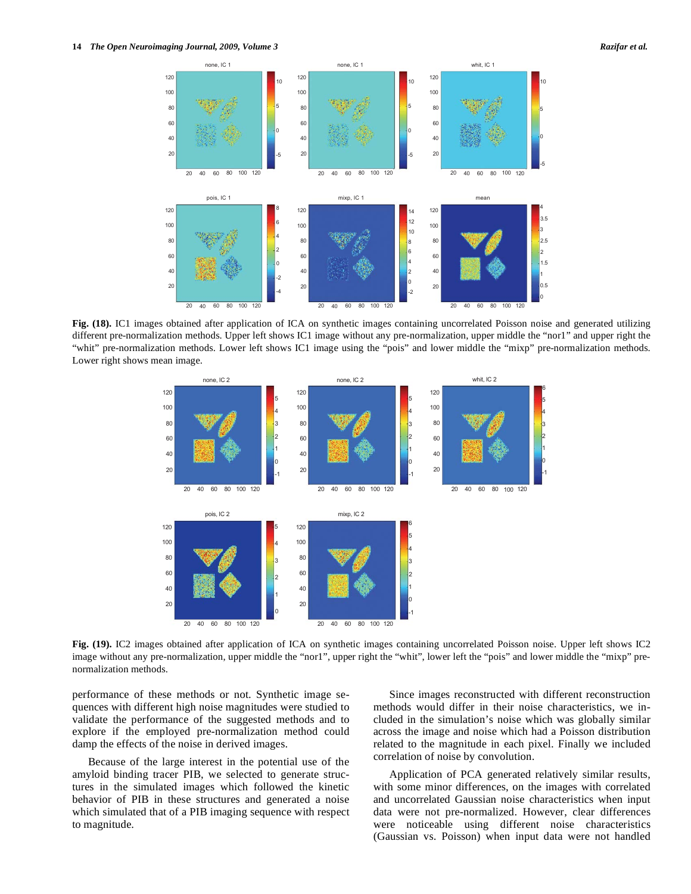

**Fig. (18).** IC1 images obtained after application of ICA on synthetic images containing uncorrelated Poisson noise and generated utilizing different pre-normalization methods. Upper left shows IC1 image without any pre-normalization, upper middle the "nor1" and upper right the "whit" pre-normalization methods. Lower left shows IC1 image using the "pois" and lower middle the "mixp" pre-normalization methods. Lower right shows mean image.



**Fig. (19).** IC2 images obtained after application of ICA on synthetic images containing uncorrelated Poisson noise. Upper left shows IC2 image without any pre-normalization, upper middle the "nor1", upper right the "whit", lower left the "pois" and lower middle the "mixp" prenormalization methods.

performance of these methods or not. Synthetic image sequences with different high noise magnitudes were studied to validate the performance of the suggested methods and to explore if the employed pre-normalization method could damp the effects of the noise in derived images.

 Because of the large interest in the potential use of the amyloid binding tracer PIB, we selected to generate structures in the simulated images which followed the kinetic behavior of PIB in these structures and generated a noise which simulated that of a PIB imaging sequence with respect to magnitude.

 Since images reconstructed with different reconstruction methods would differ in their noise characteristics, we included in the simulation's noise which was globally similar across the image and noise which had a Poisson distribution related to the magnitude in each pixel. Finally we included correlation of noise by convolution.

 Application of PCA generated relatively similar results, with some minor differences, on the images with correlated and uncorrelated Gaussian noise characteristics when input data were not pre-normalized. However, clear differences were noticeable using different noise characteristics (Gaussian vs. Poisson) when input data were not handled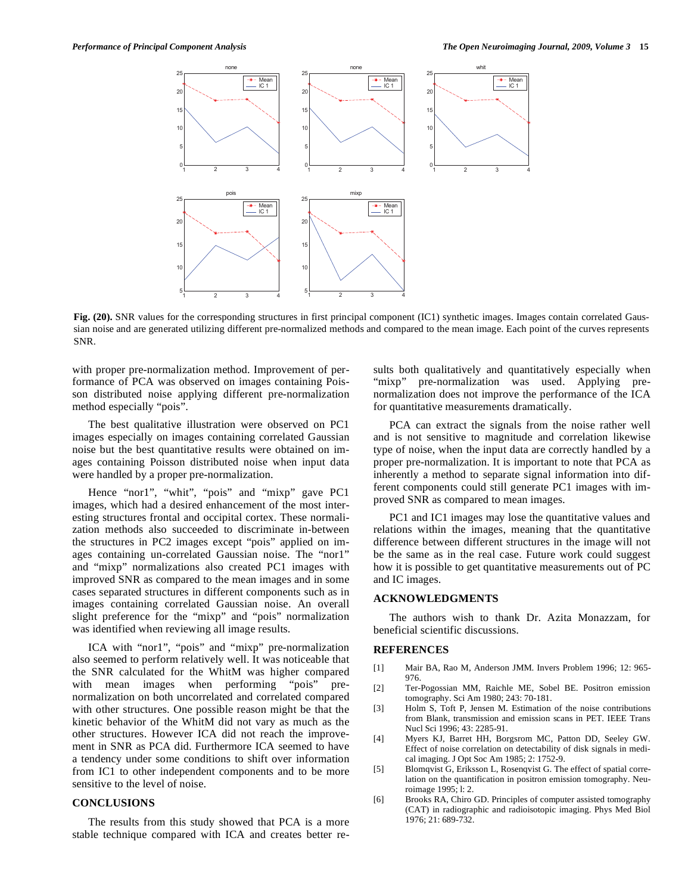

**Fig. (20).** SNR values for the corresponding structures in first principal component (IC1) synthetic images. Images contain correlated Gaussian noise and are generated utilizing different pre-normalized methods and compared to the mean image. Each point of the curves represents SNR.

with proper pre-normalization method. Improvement of performance of PCA was observed on images containing Poisson distributed noise applying different pre-normalization method especially "pois".

 The best qualitative illustration were observed on PC1 images especially on images containing correlated Gaussian noise but the best quantitative results were obtained on images containing Poisson distributed noise when input data were handled by a proper pre-normalization.

Hence "nor1", "whit", "pois" and "mixp" gave PC1 images, which had a desired enhancement of the most interesting structures frontal and occipital cortex. These normalization methods also succeeded to discriminate in-between the structures in PC2 images except "pois" applied on images containing un-correlated Gaussian noise. The "nor1" and "mixp" normalizations also created PC1 images with improved SNR as compared to the mean images and in some cases separated structures in different components such as in images containing correlated Gaussian noise. An overall slight preference for the "mixp" and "pois" normalization was identified when reviewing all image results.

 ICA with "nor1", "pois" and "mixp" pre-normalization also seemed to perform relatively well. It was noticeable that the SNR calculated for the WhitM was higher compared with mean images when performing "pois" prenormalization on both uncorrelated and correlated compared with other structures. One possible reason might be that the kinetic behavior of the WhitM did not vary as much as the other structures. However ICA did not reach the improvement in SNR as PCA did. Furthermore ICA seemed to have a tendency under some conditions to shift over information from IC1 to other independent components and to be more sensitive to the level of noise.

## **CONCLUSIONS**

 The results from this study showed that PCA is a more stable technique compared with ICA and creates better results both qualitatively and quantitatively especially when "mixp" pre-normalization was used. Applying prenormalization does not improve the performance of the ICA for quantitative measurements dramatically.

 PCA can extract the signals from the noise rather well and is not sensitive to magnitude and correlation likewise type of noise, when the input data are correctly handled by a proper pre-normalization. It is important to note that PCA as inherently a method to separate signal information into different components could still generate PC1 images with improved SNR as compared to mean images.

 PC1 and IC1 images may lose the quantitative values and relations within the images, meaning that the quantitative difference between different structures in the image will not be the same as in the real case. Future work could suggest how it is possible to get quantitative measurements out of PC and IC images.

# **ACKNOWLEDGMENTS**

 The authors wish to thank Dr. Azita Monazzam, for beneficial scientific discussions.

### **REFERENCES**

- [1] Mair BA, Rao M, Anderson JMM. Invers Problem 1996; 12: 965- 976.
- [2] Ter-Pogossian MM, Raichle ME, Sobel BE. Positron emission tomography. Sci Am 1980; 243: 70-181.
- [3] Holm S, Toft P, Jensen M. Estimation of the noise contributions from Blank, transmission and emission scans in PET. IEEE Trans Nucl Sci 1996; 43: 2285-91.
- [4] Myers KJ, Barret HH, Borgsrom MC, Patton DD, Seeley GW. Effect of noise correlation on detectability of disk signals in medical imaging. J Opt Soc Am 1985; 2: 1752-9.
- [5] Blomqvist G, Eriksson L, Rosenqvist G. The effect of spatial correlation on the quantification in positron emission tomography. Neuroimage 1995; l: 2.
- [6] Brooks RA, Chiro GD. Principles of computer assisted tomography (CAT) in radiographic and radioisotopic imaging. Phys Med Biol 1976; 21: 689-732.